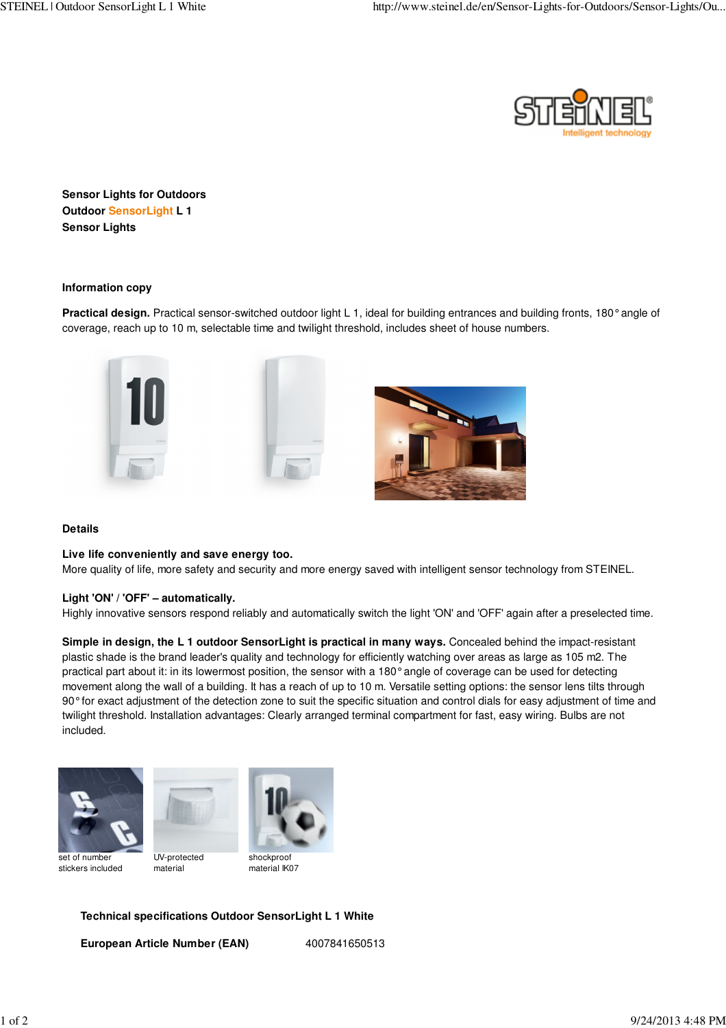

**Sensor Lights for Outdoors Outdoor SensorLight L 1 Sensor Lights**

**Information copy**

**Practical design.** Practical sensor-switched outdoor light L 1, ideal for building entrances and building fronts, 180° angle of coverage, reach up to 10 m, selectable time and twilight threshold, includes sheet of house numbers.



### **Details**

#### **Live life conveniently and save energy too.**

More quality of life, more safety and security and more energy saved with intelligent sensor technology from STEINEL.

#### **Light 'ON' / 'OFF' – automatically.**

Highly innovative sensors respond reliably and automatically switch the light 'ON' and 'OFF' again after a preselected time.

**Simple in design, the L 1 outdoor SensorLight is practical in many ways.** Concealed behind the impact-resistant plastic shade is the brand leader's quality and technology for efficiently watching over areas as large as 105 m2. The practical part about it: in its lowermost position, the sensor with a 180° angle of coverage can be used for detecting movement along the wall of a building. It has a reach of up to 10 m. Versatile setting options: the sensor lens tilts through 90° for exact adjustment of the detection zone to suit the specific situation and control dials for easy adjustment of time and twilight threshold. Installation advantages: Clearly arranged terminal compartment for fast, easy wiring. Bulbs are not included.





set of number stickers included

UV-protected material



## **Technical specifications Outdoor SensorLight L 1 White**

**European Article Number (EAN)** 4007841650513